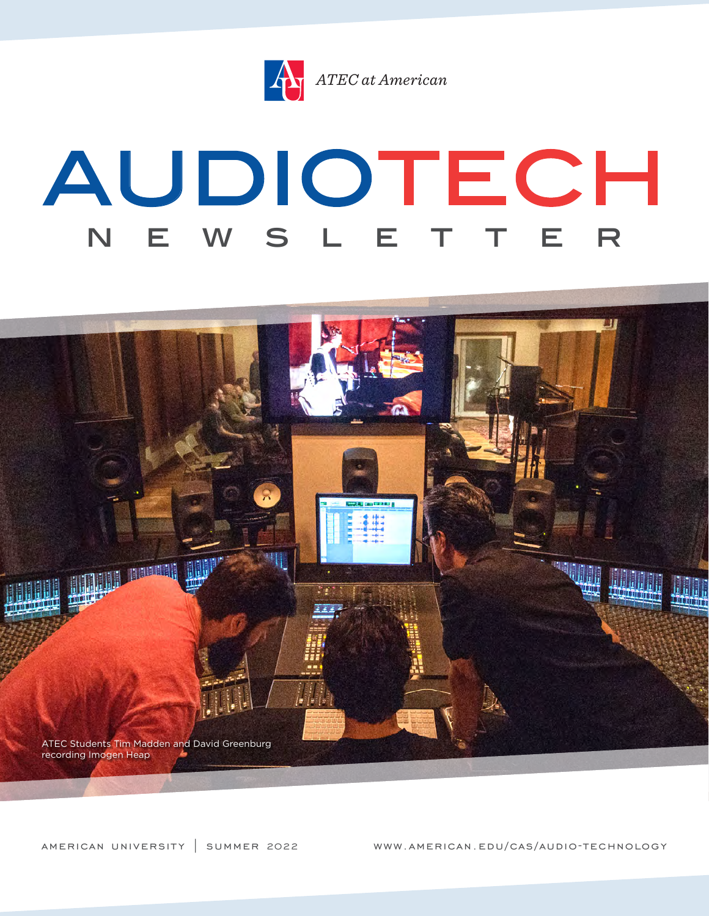

# AUDIOTECH N E W S L E T T E R



american university | summer 2022 www.american.edu/cas/audio-technology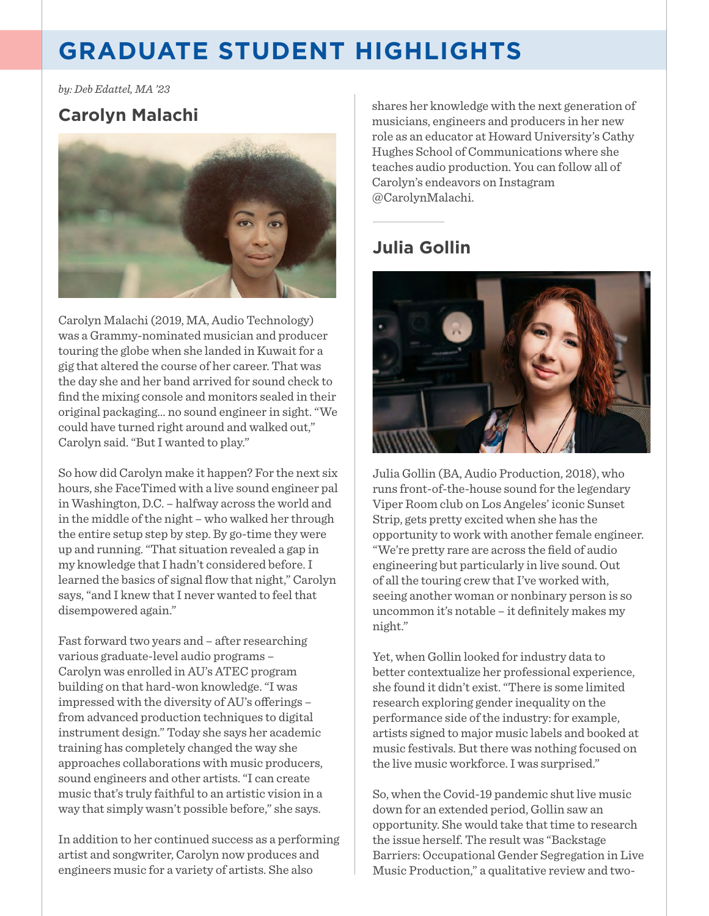# **GRADUATE STUDENT HIGHLIGHTS**

*by: Deb Edattel, MA '23* 

#### **Carolyn Malachi**



Carolyn Malachi (2019, MA, Audio Technology) was a Grammy-nominated musician and producer touring the globe when she landed in Kuwait for a gig that altered the course of her career. That was the day she and her band arrived for sound check to fnd the mixing console and monitors sealed in their original packaging… no sound engineer in sight. "We could have turned right around and walked out," Carolyn said. "But I wanted to play."

So how did Carolyn make it happen? For the next six hours, she FaceTimed with a live sound engineer pal in Washington, D.C. – halfway across the world and in the middle of the night – who walked her through the entire setup step by step. By go-time they were up and running. "That situation revealed a gap in my knowledge that I hadn't considered before. I learned the basics of signal fow that night," Carolyn says, "and I knew that I never wanted to feel that disempowered again."

Fast forward two years and – after researching various graduate-level audio programs – Carolyn was enrolled in AU's ATEC program building on that hard-won knowledge. "I was impressed with the diversity of AU's offerings – from advanced production techniques to digital instrument design." Today she says her academic training has completely changed the way she approaches collaborations with music producers, sound engineers and other artists. "I can create music that's truly faithful to an artistic vision in a way that simply wasn't possible before," she says.

In addition to her continued success as a performing artist and songwriter, Carolyn now produces and engineers music for a variety of artists. She also

shares her knowledge with the next generation of musicians, engineers and producers in her new role as an educator at Howard University's Cathy Hughes School of Communications where she teaches audio production. You can follow all of Carolyn's endeavors on Instagram @CarolynMalachi.

## **Julia Gollin**



Julia Gollin (BA, Audio Production, 2018), who runs front-of-the-house sound for the legendary Viper Room club on Los Angeles' iconic Sunset Strip, gets pretty excited when she has the opportunity to work with another female engineer. "We're pretty rare are across the feld of audio engineering but particularly in live sound. Out of all the touring crew that I've worked with, seeing another woman or nonbinary person is so uncommon it's notable - it definitely makes my night."

Yet, when Gollin looked for industry data to better contextualize her professional experience, she found it didn't exist. "There is some limited research exploring gender inequality on the performance side of the industry: for example, artists signed to major music labels and booked at music festivals. But there was nothing focused on the live music workforce. I was surprised."

So, when the Covid-19 pandemic shut live music down for an extended period, Gollin saw an opportunity. She would take that time to research the issue herself. The result was "Backstage Barriers: Occupational Gender Segregation in Live Music Production," a qualitative review and two-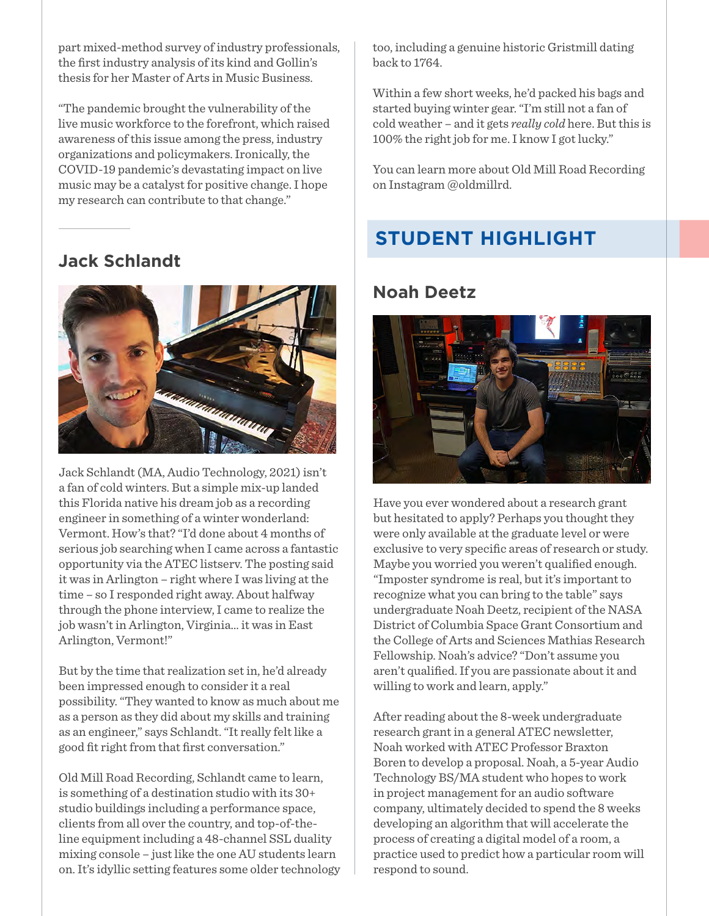part mixed-method survey of industry professionals, the frst industry analysis of its kind and Gollin's thesis for her Master of Arts in Music Business.

"The pandemic brought the vulnerability of the live music workforce to the forefront, which raised awareness of this issue among the press, industry organizations and policymakers. Ironically, the COVID-19 pandemic's devastating impact on live music may be a catalyst for positive change. I hope my research can contribute to that change."

#### **Jack Schlandt**



Jack Schlandt (MA, Audio Technology, 2021) isn't a fan of cold winters. But a simple mix-up landed this Florida native his dream job as a recording engineer in something of a winter wonderland: Vermont. How's that? "I'd done about 4 months of serious job searching when I came across a fantastic opportunity via the ATEC listserv. The posting said it was in Arlington – right where I was living at the time – so I responded right away. About halfway through the phone interview, I came to realize the job wasn't in Arlington, Virginia… it was in East Arlington, Vermont!"

But by the time that realization set in, he'd already been impressed enough to consider it a real possibility. "They wanted to know as much about me as a person as they did about my skills and training as an engineer," says Schlandt. "It really felt like a good ft right from that frst conversation."

Old Mill Road Recording, Schlandt came to learn, is something of a destination studio with its 30+ studio buildings including a performance space, clients from all over the country, and top-of-theline equipment including a 48-channel SSL duality mixing console – just like the one AU students learn on. It's idyllic setting features some older technology too, including a genuine historic Gristmill dating back to 1764.

Within a few short weeks, he'd packed his bags and started buying winter gear. "I'm still not a fan of cold weather – and it gets *really cold* here. But this is 100% the right job for me. I know I got lucky."

You can learn more about Old Mill Road Recording on Instagram @oldmillrd.

## **STUDENT HIGHLIGHT**

#### **Noah Deetz**



Have you ever wondered about a research grant but hesitated to apply? Perhaps you thought they were only available at the graduate level or were exclusive to very specifc areas of research or study. Maybe you worried you weren't qualifed enough. "Imposter syndrome is real, but it's important to recognize what you can bring to the table" says undergraduate Noah Deetz, recipient of the NASA District of Columbia Space Grant Consortium and the College of Arts and Sciences Mathias Research Fellowship. Noah's advice? "Don't assume you aren't qualifed. If you are passionate about it and willing to work and learn, apply."

After reading about the 8-week undergraduate research grant in a general ATEC newsletter, Noah worked with ATEC Professor Braxton Boren to develop a proposal. Noah, a 5-year Audio Technology BS/MA student who hopes to work in project management for an audio software company, ultimately decided to spend the 8 weeks developing an algorithm that will accelerate the process of creating a digital model of a room, a practice used to predict how a particular room will respond to sound.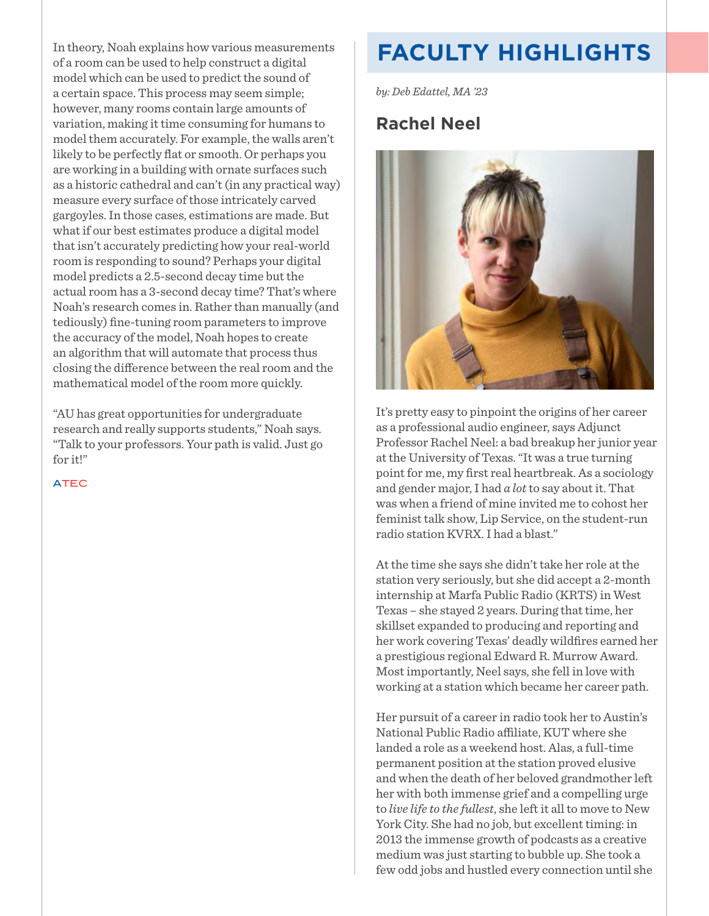In theory, Noah explains how various measurements of a room can be used to help construct a digital model which can be used to predict the sound of a certain space. This process may seem simple; however, many rooms contain large amounts of variation, making it time consuming for humans to model them accurately. For example, the walls aren't likely to be perfectly fat or smooth. Or perhaps you are working in a building with ornate surfaces such as a historic cathedral and can't (in any practical way) measure every surface of those intricately carved gargoyles. In those cases, estimations are made. But what if our best estimates produce a digital model that isn't accurately predicting how your real-world room is responding to sound? Perhaps your digital model predicts a 2.5-second decay time but the actual room has a 3-second decay time? That's where Noah's research comes in. Rather than manually (and tediously) fne-tuning room parameters to improve the accuracy of the model, Noah hopes to create an algorithm that will automate that process thus closing the diference between the real room and the mathematical model of the room more quickly.

"AU has great opportunities for undergraduate research and really supports students," Noah says. "Talk to your professors. Your path is valid. Just go for it!"

ATEC

## **FACULTY HIGHLIGHTS**

*by: Deb Edattel, MA '23* 

#### **Rachel Neel**



It's pretty easy to pinpoint the origins of her career as a professional audio engineer, says Adjunct Professor Rachel Neel: a bad breakup her junior year at the University of Texas. "It was a true turning point for me, my frst real heartbreak. As a sociology and gender major, I had *a lot* to say about it. That was when a friend of mine invited me to cohost her feminist talk show, Lip Service, on the student-run radio station KVRX. I had a blast."

At the time she says she didn't take her role at the station very seriously, but she did accept a 2-month internship at Marfa Public Radio (KRTS) in West Texas – she stayed 2 years. During that time, her skillset expanded to producing and reporting and her work covering Texas' deadly wildfres earned her a prestigious regional Edward R. Murrow Award. Most importantly, Neel says, she fell in love with working at a station which became her career path.

Her pursuit of a career in radio took her to Austin's National Public Radio affiliate, KUT where she landed a role as a weekend host. Alas, a full-time permanent position at the station proved elusive and when the death of her beloved grandmother left her with both immense grief and a compelling urge to *live life to the fullest*, she left it all to move to New York City. She had no job, but excellent timing: in 2013 the immense growth of podcasts as a creative medium was just starting to bubble up. She took a few odd jobs and hustled every connection until she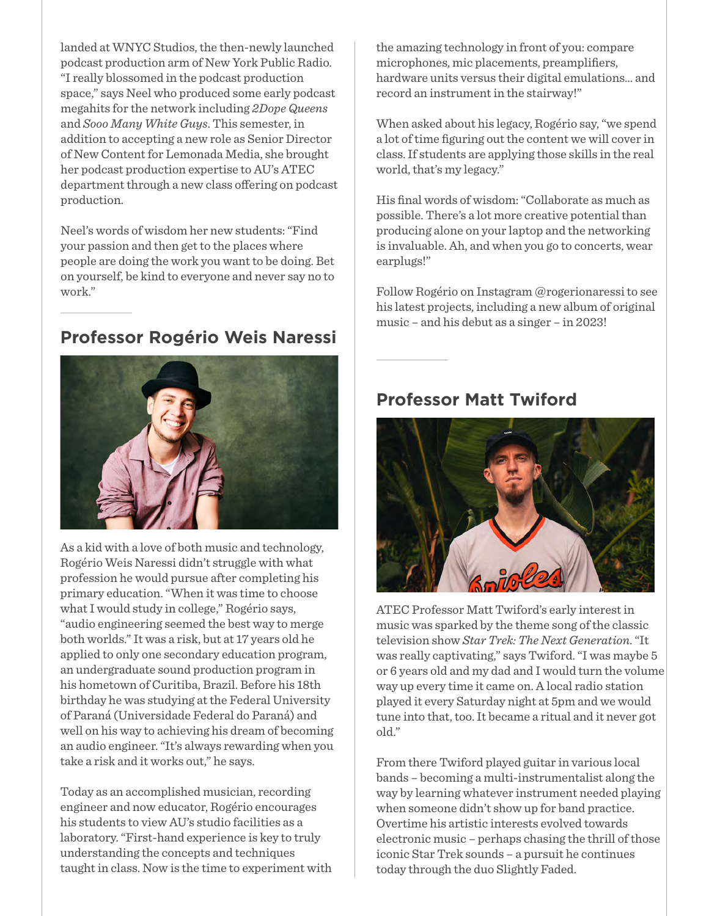landed at WNYC Studios, the then-newly launched podcast production arm of New York Public Radio. "I really blossomed in the podcast production space," says Neel who produced some early podcast megahits for the network including *2Dope Queens*  and *Sooo Many White Guys*. This semester, in addition to accepting a new role as Senior Director of New Content for Lemonada Media, she brought her podcast production expertise to AU's ATEC department through a new class offering on podcast production.

Neel's words of wisdom her new students: "Find your passion and then get to the places where people are doing the work you want to be doing. Bet on yourself, be kind to everyone and never say no to work."

## **Professor Rogério Weis Naressi**



As a kid with a love of both music and technology, Rogério Weis Naressi didn't struggle with what profession he would pursue after completing his primary education. "When it was time to choose what I would study in college," Rogério says, "audio engineering seemed the best way to merge both worlds." It was a risk, but at 17 years old he applied to only one secondary education program, an undergraduate sound production program in his hometown of Curitiba, Brazil. Before his 18th birthday he was studying at the Federal University of Paraná (Universidade Federal do Paraná) and well on his way to achieving his dream of becoming an audio engineer. "It's always rewarding when you take a risk and it works out," he says.

Today as an accomplished musician, recording engineer and now educator, Rogério encourages his students to view AU's studio facilities as a laboratory. "First-hand experience is key to truly understanding the concepts and techniques taught in class. Now is the time to experiment with the amazing technology in front of you: compare microphones, mic placements, preamplifers, hardware units versus their digital emulations… and record an instrument in the stairway!"

When asked about his legacy, Rogério say, "we spend a lot of time fguring out the content we will cover in class. If students are applying those skills in the real world, that's my legacy."

His fnal words of wisdom: "Collaborate as much as possible. There's a lot more creative potential than producing alone on your laptop and the networking is invaluable. Ah, and when you go to concerts, wear earplugs!"

Follow Rogério on Instagram @rogerionaressi to see his latest projects, including a new album of original music – and his debut as a singer – in 2023!

#### **Professor Matt Twiford**



ATEC Professor Matt Twiford's early interest in music was sparked by the theme song of the classic television show *Star Trek: The Next Generation*. "It was really captivating," says Twiford. "I was maybe 5 or 6 years old and my dad and I would turn the volume way up every time it came on. A local radio station played it every Saturday night at 5pm and we would tune into that, too. It became a ritual and it never got old."

From there Twiford played guitar in various local bands – becoming a multi-instrumentalist along the way by learning whatever instrument needed playing when someone didn't show up for band practice. Overtime his artistic interests evolved towards electronic music – perhaps chasing the thrill of those iconic Star Trek sounds – a pursuit he continues today through the duo Slightly Faded.